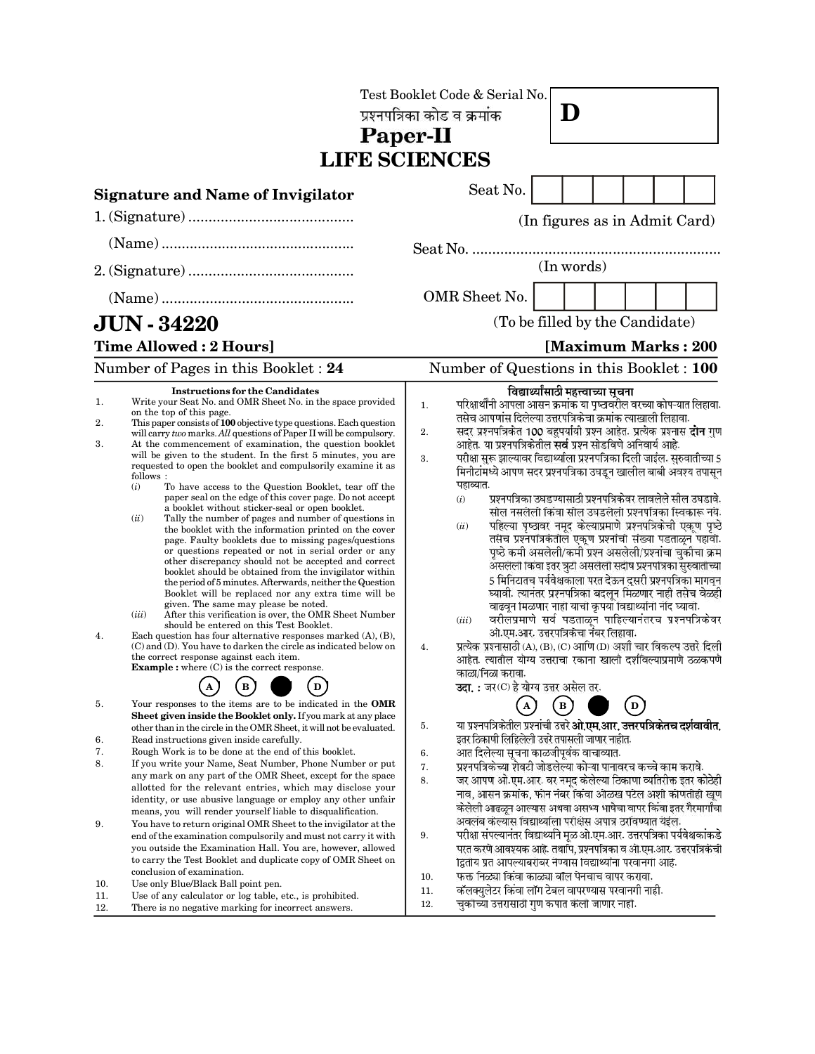| Paper-II<br><b>LIFE SCIENCES</b> |                                                                                                                                                                                                                                                                                                                                                                                                                                                                                                                                                                                                                                                                                                                                                                                                                                                                                                                                                                                                                                                                                                                                                                                                                                                                                                                                                                                                                                                                                                                                                                             |                      | Test Booklet Code & Serial No.<br>प्रश्नपत्रिका कोड व क्रमांक                                                                                                                                                                                                                                                                                                                                                                                                                                                                                                                                                                                                                                                                                                                                                                                                                                                                                                                                                                                                                                                                                                                                                                                                                                                                                                                                    |              | D                                    |  |  |
|----------------------------------|-----------------------------------------------------------------------------------------------------------------------------------------------------------------------------------------------------------------------------------------------------------------------------------------------------------------------------------------------------------------------------------------------------------------------------------------------------------------------------------------------------------------------------------------------------------------------------------------------------------------------------------------------------------------------------------------------------------------------------------------------------------------------------------------------------------------------------------------------------------------------------------------------------------------------------------------------------------------------------------------------------------------------------------------------------------------------------------------------------------------------------------------------------------------------------------------------------------------------------------------------------------------------------------------------------------------------------------------------------------------------------------------------------------------------------------------------------------------------------------------------------------------------------------------------------------------------------|----------------------|--------------------------------------------------------------------------------------------------------------------------------------------------------------------------------------------------------------------------------------------------------------------------------------------------------------------------------------------------------------------------------------------------------------------------------------------------------------------------------------------------------------------------------------------------------------------------------------------------------------------------------------------------------------------------------------------------------------------------------------------------------------------------------------------------------------------------------------------------------------------------------------------------------------------------------------------------------------------------------------------------------------------------------------------------------------------------------------------------------------------------------------------------------------------------------------------------------------------------------------------------------------------------------------------------------------------------------------------------------------------------------------------------|--------------|--------------------------------------|--|--|
|                                  | <b>Signature and Name of Invigilator</b>                                                                                                                                                                                                                                                                                                                                                                                                                                                                                                                                                                                                                                                                                                                                                                                                                                                                                                                                                                                                                                                                                                                                                                                                                                                                                                                                                                                                                                                                                                                                    |                      | Seat No.                                                                                                                                                                                                                                                                                                                                                                                                                                                                                                                                                                                                                                                                                                                                                                                                                                                                                                                                                                                                                                                                                                                                                                                                                                                                                                                                                                                         |              |                                      |  |  |
|                                  |                                                                                                                                                                                                                                                                                                                                                                                                                                                                                                                                                                                                                                                                                                                                                                                                                                                                                                                                                                                                                                                                                                                                                                                                                                                                                                                                                                                                                                                                                                                                                                             |                      |                                                                                                                                                                                                                                                                                                                                                                                                                                                                                                                                                                                                                                                                                                                                                                                                                                                                                                                                                                                                                                                                                                                                                                                                                                                                                                                                                                                                  |              | (In figures as in Admit Card)        |  |  |
|                                  |                                                                                                                                                                                                                                                                                                                                                                                                                                                                                                                                                                                                                                                                                                                                                                                                                                                                                                                                                                                                                                                                                                                                                                                                                                                                                                                                                                                                                                                                                                                                                                             |                      |                                                                                                                                                                                                                                                                                                                                                                                                                                                                                                                                                                                                                                                                                                                                                                                                                                                                                                                                                                                                                                                                                                                                                                                                                                                                                                                                                                                                  |              |                                      |  |  |
|                                  |                                                                                                                                                                                                                                                                                                                                                                                                                                                                                                                                                                                                                                                                                                                                                                                                                                                                                                                                                                                                                                                                                                                                                                                                                                                                                                                                                                                                                                                                                                                                                                             | (In words)           |                                                                                                                                                                                                                                                                                                                                                                                                                                                                                                                                                                                                                                                                                                                                                                                                                                                                                                                                                                                                                                                                                                                                                                                                                                                                                                                                                                                                  |              |                                      |  |  |
|                                  |                                                                                                                                                                                                                                                                                                                                                                                                                                                                                                                                                                                                                                                                                                                                                                                                                                                                                                                                                                                                                                                                                                                                                                                                                                                                                                                                                                                                                                                                                                                                                                             |                      | OMR Sheet No.                                                                                                                                                                                                                                                                                                                                                                                                                                                                                                                                                                                                                                                                                                                                                                                                                                                                                                                                                                                                                                                                                                                                                                                                                                                                                                                                                                                    |              |                                      |  |  |
|                                  | <b>JUN - 34220</b>                                                                                                                                                                                                                                                                                                                                                                                                                                                                                                                                                                                                                                                                                                                                                                                                                                                                                                                                                                                                                                                                                                                                                                                                                                                                                                                                                                                                                                                                                                                                                          |                      |                                                                                                                                                                                                                                                                                                                                                                                                                                                                                                                                                                                                                                                                                                                                                                                                                                                                                                                                                                                                                                                                                                                                                                                                                                                                                                                                                                                                  |              | (To be filled by the Candidate)      |  |  |
|                                  | <b>Time Allowed: 2 Hours]</b>                                                                                                                                                                                                                                                                                                                                                                                                                                                                                                                                                                                                                                                                                                                                                                                                                                                                                                                                                                                                                                                                                                                                                                                                                                                                                                                                                                                                                                                                                                                                               |                      |                                                                                                                                                                                                                                                                                                                                                                                                                                                                                                                                                                                                                                                                                                                                                                                                                                                                                                                                                                                                                                                                                                                                                                                                                                                                                                                                                                                                  |              | [Maximum Marks: 200                  |  |  |
|                                  | Number of Pages in this Booklet: 24                                                                                                                                                                                                                                                                                                                                                                                                                                                                                                                                                                                                                                                                                                                                                                                                                                                                                                                                                                                                                                                                                                                                                                                                                                                                                                                                                                                                                                                                                                                                         |                      | Number of Questions in this Booklet : 100                                                                                                                                                                                                                                                                                                                                                                                                                                                                                                                                                                                                                                                                                                                                                                                                                                                                                                                                                                                                                                                                                                                                                                                                                                                                                                                                                        |              |                                      |  |  |
| 1.<br>2.<br>3.<br>4.             | <b>Instructions for the Candidates</b><br>Write your Seat No. and OMR Sheet No. in the space provided<br>on the top of this page.<br>This paper consists of 100 objective type questions. Each question<br>will carry two marks. All questions of Paper II will be compulsory.<br>At the commencement of examination, the question booklet<br>will be given to the student. In the first 5 minutes, you are<br>requested to open the booklet and compulsorily examine it as<br>follows:<br>(i)<br>To have access to the Question Booklet, tear off the<br>paper seal on the edge of this cover page. Do not accept<br>a booklet without sticker-seal or open booklet.<br>(ii)<br>Tally the number of pages and number of questions in<br>the booklet with the information printed on the cover<br>page. Faulty booklets due to missing pages/questions<br>or questions repeated or not in serial order or any<br>other discrepancy should not be accepted and correct<br>booklet should be obtained from the invigilator within<br>the period of 5 minutes. Afterwards, neither the Question<br>Booklet will be replaced nor any extra time will be<br>given. The same may please be noted.<br>(iii)<br>After this verification is over, the OMR Sheet Number<br>should be entered on this Test Booklet.<br>Each question has four alternative responses marked $(A)$ , $(B)$ ,<br>(C) and (D). You have to darken the circle as indicated below on<br>the correct response against each item.<br><b>Example</b> : where $(C)$ is the correct response.<br>$\mathbf D$<br>в | 1.<br>2.<br>3.<br>4. | परिक्षार्थींनी आपला आसन क्रमांक या पृष्ठावरील वरच्या कोपऱ्यात लिहावा.<br>तसेच आपणांस दिलेल्या उत्तरपत्रिकेचा क्रमांक त्याखाली लिहावा.<br>सदर प्रश्नपत्रिकेत 100 बहुपर्यायी प्रश्न आहेत. प्रत्येक प्रश्नास <b>दोन</b> गुण<br>आहेत. या प्रश्नपत्रिकेतील <b>सर्व</b> प्रश्न सोडविणे अनिवार्य आहे.<br>परीक्षा सुरू झाल्यावर विद्यार्थ्याला प्रश्नपत्रिका दिली जाईल. सुरुवातीच्या 5<br>मिनीटांमध्ये आपण सदर प्रश्नपत्रिका उघडून खालील बाबी अवश्य तपासून<br>पहाव्यात.<br>प्रश्नपत्रिका उघडण्यासाठी प्रश्नपत्रिकेवर लावलेले सील उघडावे.<br>(i)<br>सील नसलेली किंवा सील उघडलेली प्रश्नपत्रिका स्विकारू नये.<br>पहिल्या पृष्ठावर नमूद केल्याप्रमाणे प्रश्नपत्रिकेची एकूण पृष्ठे<br>(ii)<br>तसेच प्रश्नपत्रिकेतील एकूण प्रश्नांची संख्या पडताळून पहावी.<br>पृष्ठे कमी असलेली/कमी प्रश्न असलेली/प्रश्नांचा चुकीचा क्रम<br>असलेली किंवा इतर त्रुटी असलेली सदीष प्रश्नपत्रिका सुरुवातीच्या<br>5 मिनिटातच पर्यवेक्षकाला परत देऊन दुसरी प्रश्नपत्रिका मागवून<br>घ्यावी. त्यानंतर प्रश्नपत्रिका बदलून मिळणार नाही तसेच वेळही<br>वाढवून मिळणार नाही याची कृपया विद्यार्थ्यांनी नेंदि घ्यावी.<br>वरीलप्रमाणे सर्व पडताळून पाहिल्यानंतरच प्रश्नपत्रिकेवर<br>(iii)<br>ओ.एम.आर. उत्तरपत्रिकेचा नंबर लिहावा.<br>प्रत्येक प्रश्नासाठी (A), (B), (C) आणि (D) अशी चार विकल्प उत्तरे दिली<br>आहेत. त्यातील योग्य उत्तराचा रकाना खाली दर्शावल्याप्रमाणे ठळकपणे<br>काळा/निळा करावा.<br>उदा. : जर (C) हे योग्य उत्तर असेल तर. |              | विद्यार्थ्यांसाठी महत्त्वाच्या सूचना |  |  |
| 5.<br>6.<br>7.<br>8.             | Your responses to the items are to be indicated in the OMR<br>Sheet given inside the Booklet only. If you mark at any place<br>other than in the circle in the OMR Sheet, it will not be evaluated.<br>Read instructions given inside carefully.<br>Rough Work is to be done at the end of this booklet.<br>If you write your Name, Seat Number, Phone Number or put<br>any mark on any part of the OMR Sheet, except for the space<br>allotted for the relevant entries, which may disclose your<br>identity, or use abusive language or employ any other unfair                                                                                                                                                                                                                                                                                                                                                                                                                                                                                                                                                                                                                                                                                                                                                                                                                                                                                                                                                                                                           | 5.<br>6.<br>7.<br>8. | ${\bf A}$<br>या प्रश्नपत्रिकेतील प्रश्नांची उत्तरे <b>ओ.एम.आर. उत्तरपत्रिकेतच दर्शवावीत.</b><br>इतर ठिकाणी लिहिलेली उत्तरे तपासली जाणार नाहीत.<br>आत दिलेल्या सूचना काळजीपूर्वक वाचाव्यात.<br>प्रश्नपत्रिकेच्या शेवटी जोडलेल्या कोऱ्या पानावरच कच्चे काम करावे.<br>जर आपण ओ.एम.आर. वर नमूद केलेल्या ठिकाणा व्यतिरीक्त इतर कोठेही<br>नाव, आसन क्रमांक, फोन नंबर किंवा ओळख पटेल अशी कोणतीही खूण<br>केलेली आढळून आल्यास अथवा असभ्य भाषेचा वापर किंवा इतर गैरमार्गांचा                                                                                                                                                                                                                                                                                                                                                                                                                                                                                                                                                                                                                                                                                                                                                                                                                                                                                                                               | $\mathbf{B}$ | $\mathbf{D}$                         |  |  |
| 9.<br>10.<br>11.                 | means, you will render yourself liable to disqualification.<br>You have to return original OMR Sheet to the invigilator at the<br>end of the examination compulsorily and must not carry it with<br>you outside the Examination Hall. You are, however, allowed<br>to carry the Test Booklet and duplicate copy of OMR Sheet on<br>conclusion of examination.<br>Use only Blue/Black Ball point pen.<br>Use of any calculator or log table, etc., is prohibited.                                                                                                                                                                                                                                                                                                                                                                                                                                                                                                                                                                                                                                                                                                                                                                                                                                                                                                                                                                                                                                                                                                            | 9.<br>10.<br>11.     | अवलंब केल्यास विद्यार्थ्याला परीक्षेस अपात्र ठरविण्यात येईल.<br>परीक्षा संपल्यानंतर विद्यार्थ्याने मूळ ओ.एम.आर. उत्तरपत्रिका पर्यवेक्षकांकडे<br>परत करणे आवश्यक आहे. तथापि, प्रश्नपत्रिका व ओ.एम.आर. उत्तरपत्रिकेची<br>द्वितीय प्रत आपल्याबरोबर नेण्यास विद्यार्थ्यांना परवानगी आहे.<br>फक्त निळ्या किंवा काळ्या बॉल पेनचाच वापर करावा.<br>कॅलक्युलेटर किंवा लॉग टेबल वापरण्यास परवानगी नाही.                                                                                                                                                                                                                                                                                                                                                                                                                                                                                                                                                                                                                                                                                                                                                                                                                                                                                                                                                                                                    |              |                                      |  |  |
| 12.                              | There is no negative marking for incorrect answers.                                                                                                                                                                                                                                                                                                                                                                                                                                                                                                                                                                                                                                                                                                                                                                                                                                                                                                                                                                                                                                                                                                                                                                                                                                                                                                                                                                                                                                                                                                                         | 12.                  | चुकोच्या उत्तरासाठी गुण कपात केली जाणार नाही.                                                                                                                                                                                                                                                                                                                                                                                                                                                                                                                                                                                                                                                                                                                                                                                                                                                                                                                                                                                                                                                                                                                                                                                                                                                                                                                                                    |              |                                      |  |  |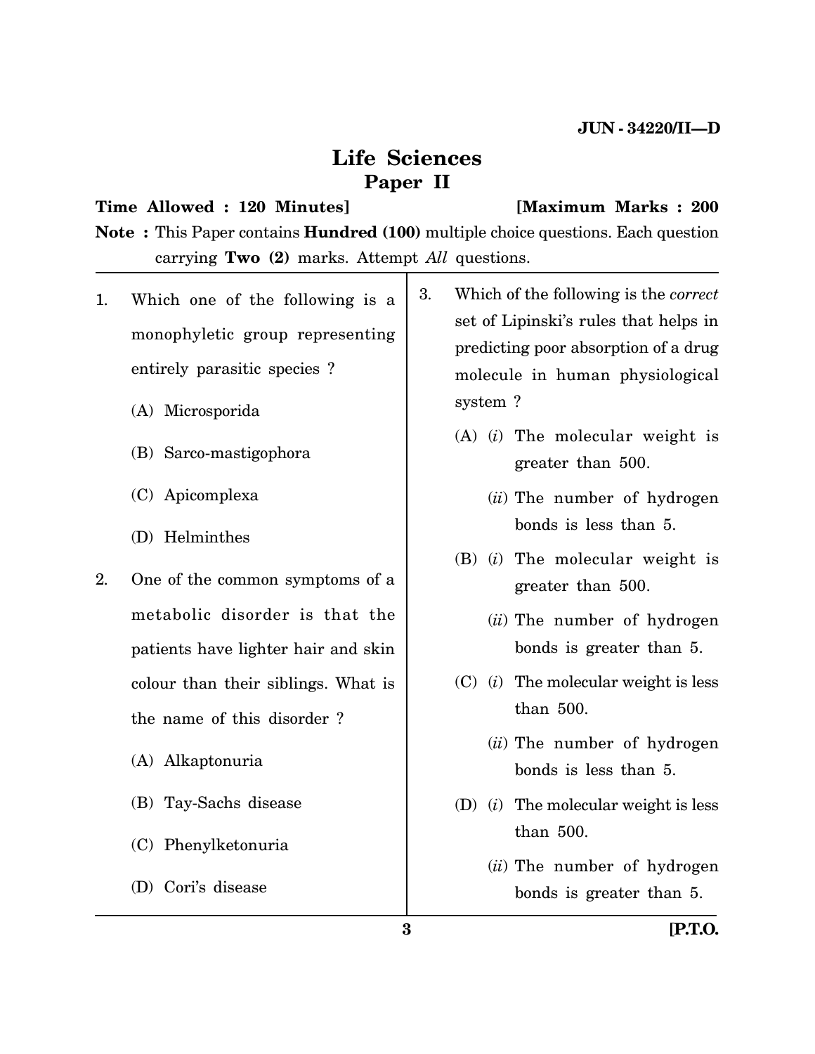# **Life Sciences Paper II**

# **Time Allowed : 120 Minutes] [Maximum Marks : 200**

**Note :** This Paper contains **Hundred (100)** multiple choice questions. Each question carrying **Two (2)** marks. Attempt *All* questions.

- 1. Which one of the following is a monophyletic group representing entirely parasitic species ?
	- (A) Microsporida
	- (B) Sarco-mastigophora
	- (C) Apicomplexa
	- (D) Helminthes
- 2. One of the common symptoms of a metabolic disorder is that the patients have lighter hair and skin colour than their siblings. What is the name of this disorder ?
	- (A) Alkaptonuria
	- (B) Tay-Sachs disease
	- (C) Phenylketonuria
	- (D) Cori's disease
- 3. Which of the following is the *correct* set of Lipinski's rules that helps in predicting poor absorption of a drug molecule in human physiological system ?
	- (A) (*i*) The molecular weight is greater than 500.
		- (*ii*) The number of hydrogen bonds is less than 5.
	- (B) (*i*) The molecular weight is greater than 500.
		- (*ii*) The number of hydrogen bonds is greater than 5.
	- (C) (*i*) The molecular weight is less than 500.
		- (*ii*) The number of hydrogen bonds is less than 5.
	- (D) (*i*) The molecular weight is less than 500.
		- (*ii*) The number of hydrogen bonds is greater than 5.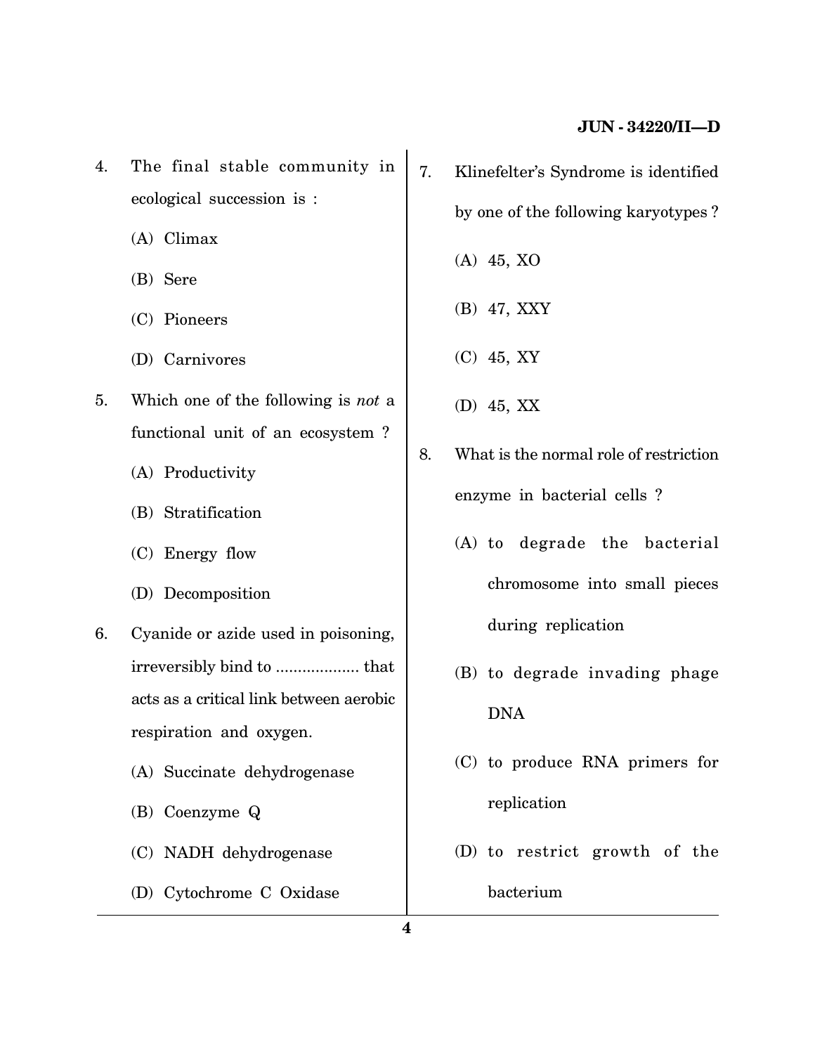- 4. The final stable community in ecological succession is :
	- (A) Climax
	- (B) Sere
	- (C) Pioneers
	- (D) Carnivores
- 5. Which one of the following is *not* a functional unit of an ecosystem ?
	- (A) Productivity
	- (B) Stratification
	- (C) Energy flow
	- (D) Decomposition
- 6. Cyanide or azide used in poisoning, irreversibly bind to ................... that acts as a critical link between aerobic respiration and oxygen.
	- (A) Succinate dehydrogenase
	- (B) Coenzyme Q
	- (C) NADH dehydrogenase
	- (D) Cytochrome C Oxidase
- 7. Klinefelter's Syndrome is identified by one of the following karyotypes ?
	- (A) 45, XO
	- (B) 47, XXY
	- (C) 45, XY
	- (D) 45, XX
- 8. What is the normal role of restriction enzyme in bacterial cells ?
	- (A) to degrade the bacterial chromosome into small pieces during replication
	- (B) to degrade invading phage DNA
	- (C) to produce RNA primers for replication
	- (D) to restrict growth of the bacterium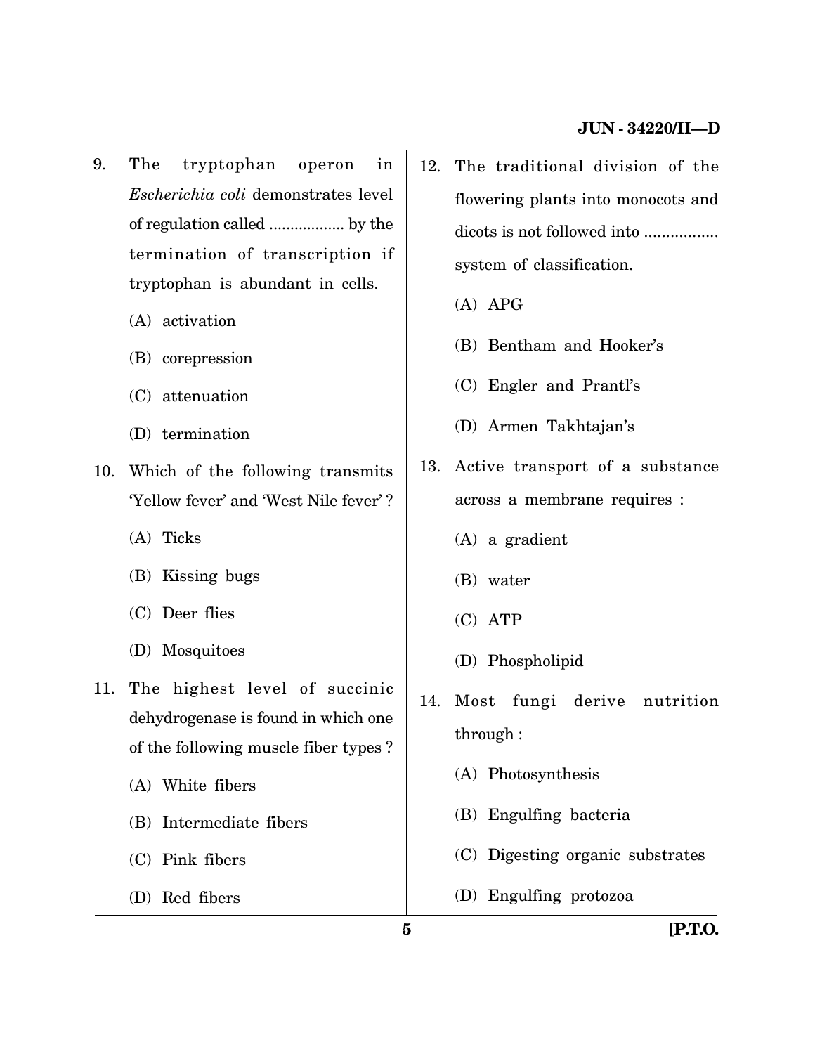- 9. The tryptophan operon in *Escherichia coli* demonstrates level of regulation called .................. by the termination of transcription if tryptophan is abundant in cells.
	- (A) activation
	- (B) corepression
	- (C) attenuation
	- (D) termination
- 10. Which of the following transmits 'Yellow fever' and 'West Nile fever' ?
	- (A) Ticks
	- (B) Kissing bugs
	- (C) Deer flies
	- (D) Mosquitoes
- 11. The highest level of succinic dehydrogenase is found in which one of the following muscle fiber types ?
	- (A) White fibers
	- (B) Intermediate fibers
	- (C) Pink fibers
	- (D) Red fibers
- 12. The traditional division of the flowering plants into monocots and dicots is not followed into ................. system of classification.
	- (A) APG
	- (B) Bentham and Hooker's
	- (C) Engler and Prantl's
	- (D) Armen Takhtajan's
- 13. Active transport of a substance across a membrane requires :
	- (A) a gradient
	- (B) water
	- (C) ATP
	- (D) Phospholipid
- 14. Most fungi derive nutrition through :
	- (A) Photosynthesis
	- (B) Engulfing bacteria
	- (C) Digesting organic substrates
	- (D) Engulfing protozoa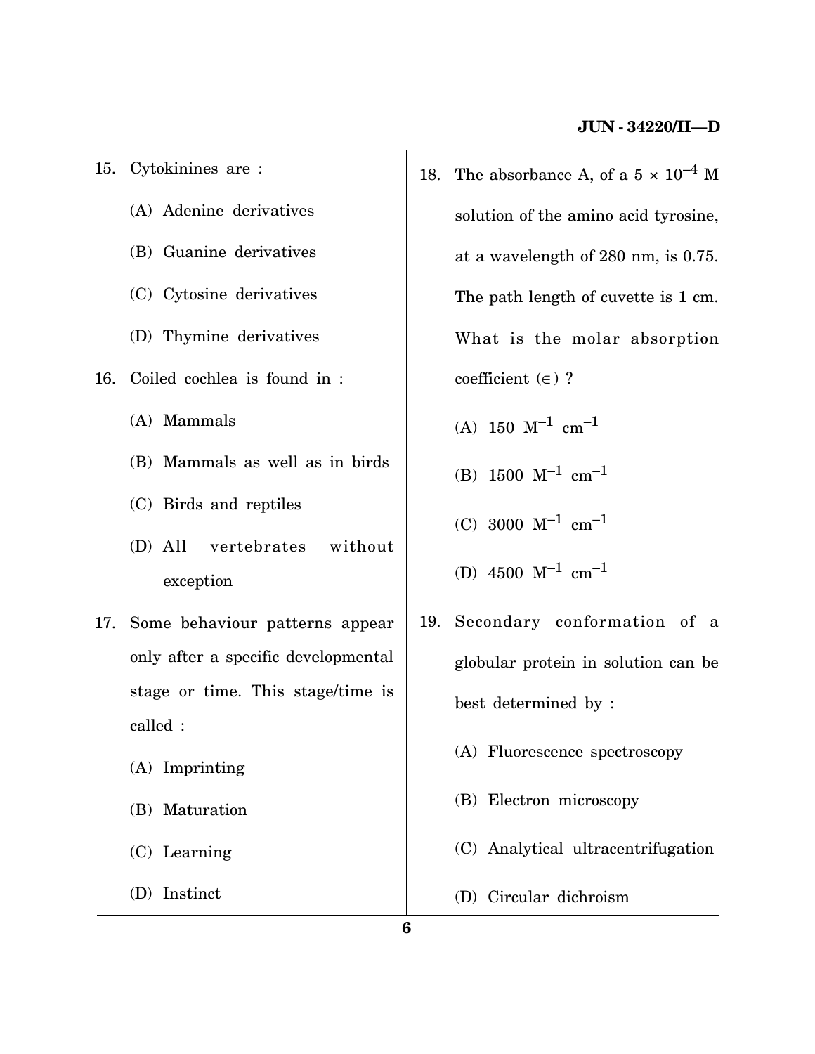- 15. Cytokinines are : (A) Adenine derivatives (B) Guanine derivatives (C) Cytosine derivatives (D) Thymine derivatives 16. Coiled cochlea is found in : (A) Mammals (B) Mammals as well as in birds (C) Birds and reptiles (D) All vertebrates without exception 17. Some behaviour patterns appear only after a specific developmental stage or time. This stage/time is called : (A) Imprinting (B) Maturation
	- (C) Learning
	- (D) Instinct
- 18. The absorbance A, of a  $5 \times 10^{-4}$  M solution of the amino acid tyrosine, at a wavelength of 280 nm, is 0.75. The path length of cuvette is 1 cm. What is the molar absorption coefficient  $(\in)$  ?
	- (A)  $150 \text{ M}^{-1} \text{ cm}^{-1}$
	- (B)  $1500 \text{ M}^{-1} \text{ cm}^{-1}$
	- (C) 3000  $M^{-1}$  cm<sup>-1</sup>
	- (D)  $4500 \text{ M}^{-1} \text{ cm}^{-1}$
- 19. Secondary conformation of a globular protein in solution can be best determined by :
	- (A) Fluorescence spectroscopy
	- (B) Electron microscopy
	- (C) Analytical ultracentrifugation
	- (D) Circular dichroism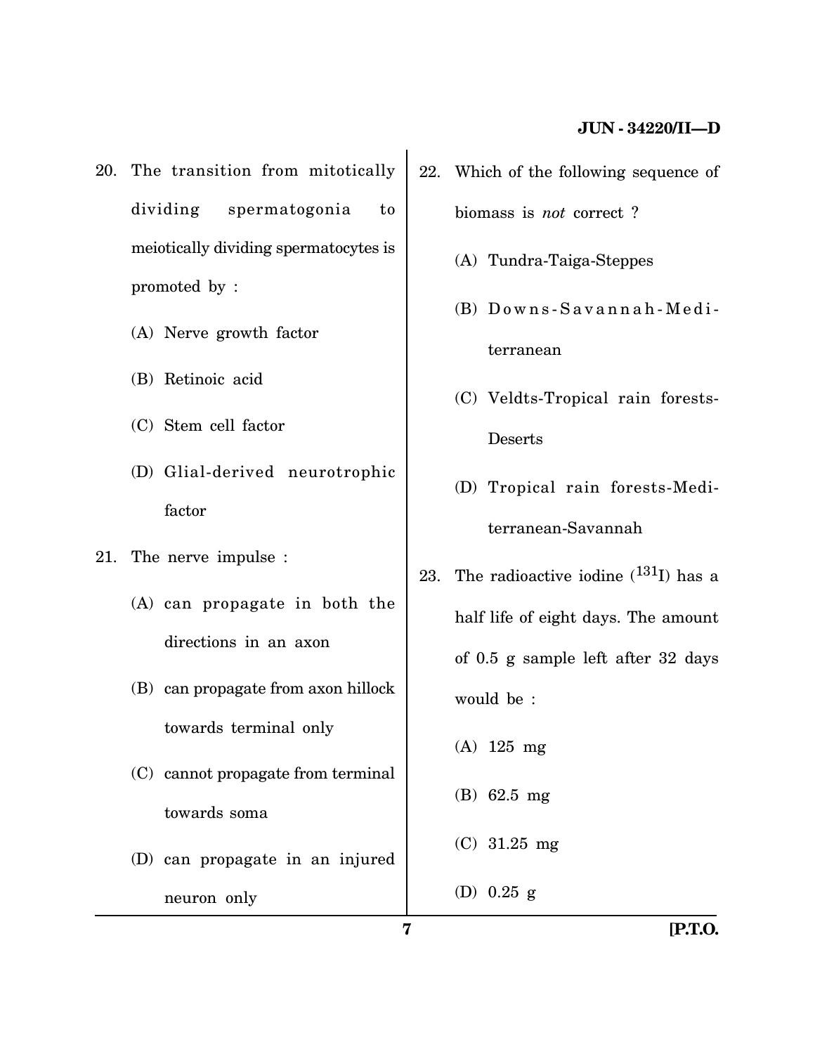- 20. The transition from mitotically dividing spermatogonia to meiotically dividing spermatocytes is promoted by :
	- (A) Nerve growth factor
	- (B) Retinoic acid
	- (C) Stem cell factor
	- (D) Glial-derived neurotrophic factor
- 21. The nerve impulse :
	- (A) can propagate in both the directions in an axon
	- (B) can propagate from axon hillock towards terminal only
	- (C) cannot propagate from terminal towards soma
	- (D) can propagate in an injured neuron only
- 22. Which of the following sequence of biomass is *not* correct ?
	- (A) Tundra-Taiga-Steppes
	- $(B)$  Downs-Savannah-Mediterranean
	- (C) Veldts-Tropical rain forests-Deserts
	- (D) Tropical rain forests-Mediterranean-Savannah
- 23. The radioactive iodine  $(^{131}I)$  has a half life of eight days. The amount of 0.5 g sample left after 32 days would be :
	- (A) 125 mg
	- (B) 62.5 mg
	- (C) 31.25 mg
	- (D) 0.25 g

**7 [P.T.O.**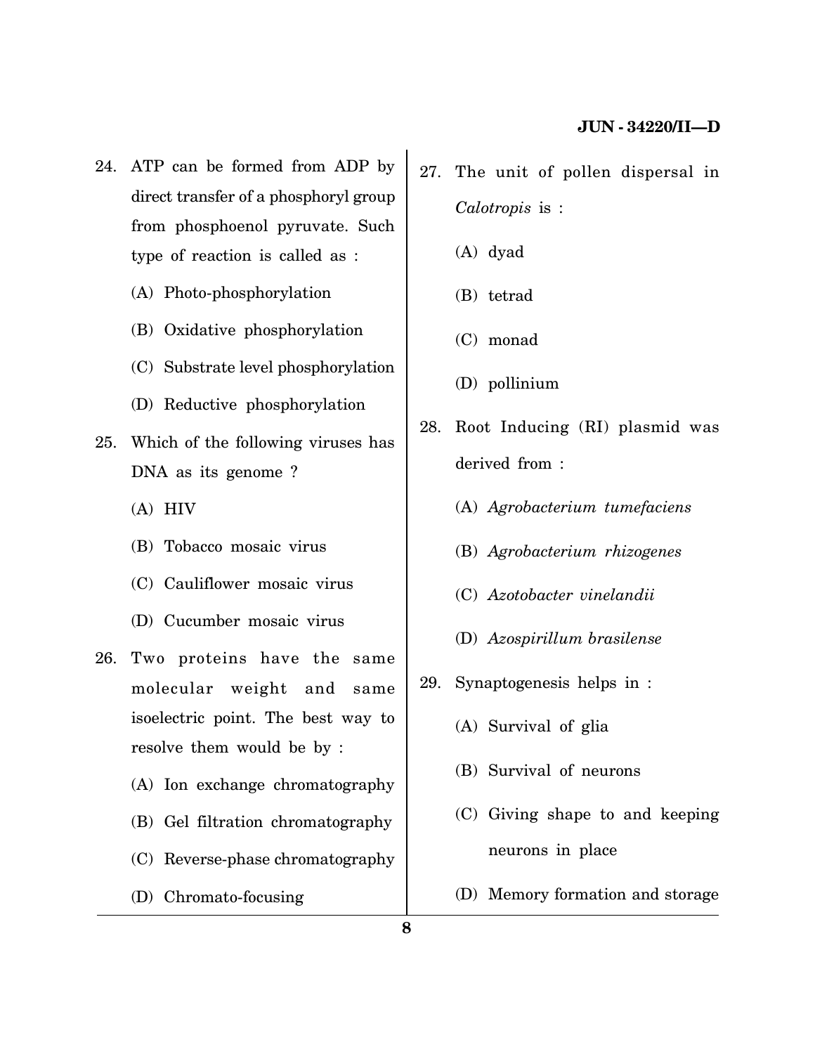- 24. ATP can be formed from ADP by direct transfer of a phosphoryl group from phosphoenol pyruvate. Such type of reaction is called as :
	- (A) Photo-phosphorylation
	- (B) Oxidative phosphorylation
	- (C) Substrate level phosphorylation
	- (D) Reductive phosphorylation
- 25. Which of the following viruses has DNA as its genome ?
	- (A) HIV
	- (B) Tobacco mosaic virus
	- (C) Cauliflower mosaic virus
	- (D) Cucumber mosaic virus
- 26. Two proteins have the same molecular weight and same isoelectric point. The best way to resolve them would be by :
	- (A) Ion exchange chromatography
	- (B) Gel filtration chromatography
	- (C) Reverse-phase chromatography
	- (D) Chromato-focusing
- 27. The unit of pollen dispersal in *Calotropis* is :
	- (A) dyad
	- (B) tetrad
	- (C) monad
	- (D) pollinium
- 28. Root Inducing (RI) plasmid was derived from :
	- (A) *Agrobacterium tumefaciens*
	- (B) *Agrobacterium rhizogenes*
	- (C) *Azotobacter vinelandii*
	- (D) *Azospirillum brasilense*
- 29. Synaptogenesis helps in :
	- (A) Survival of glia
	- (B) Survival of neurons
	- (C) Giving shape to and keeping neurons in place
	- (D) Memory formation and storage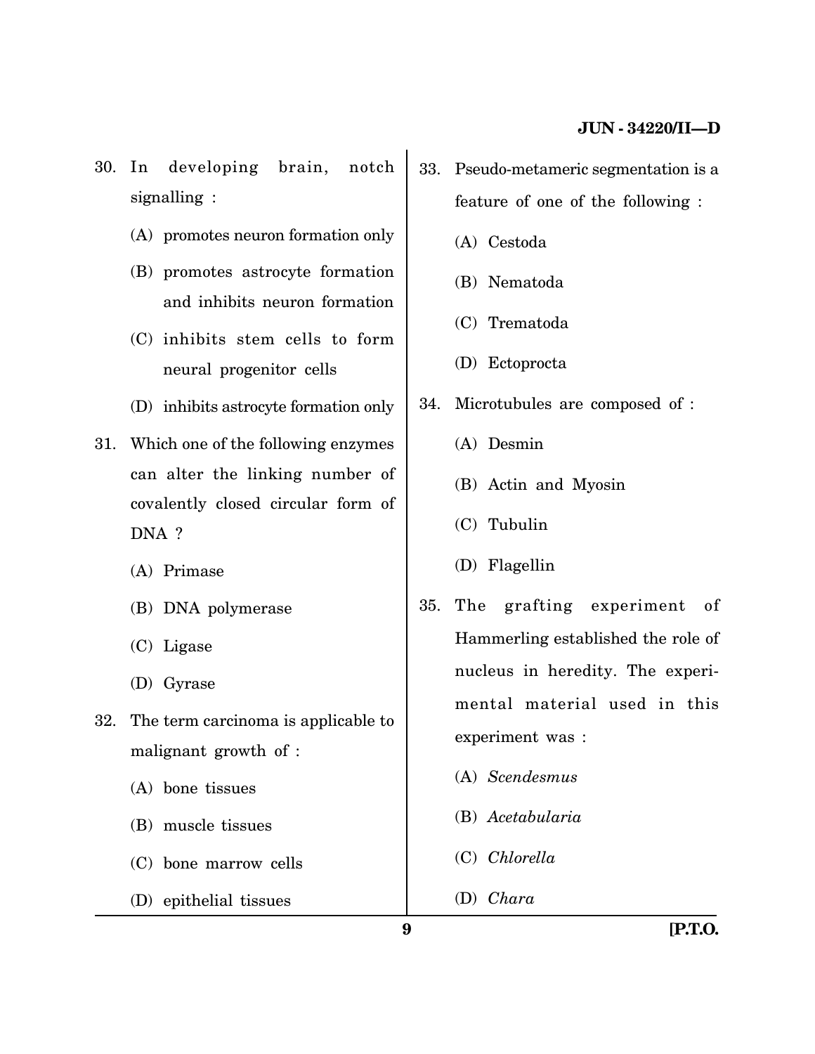30. In developing brain, notch signalling :

- (A) promotes neuron formation only
- (B) promotes astrocyte formation and inhibits neuron formation
- (C) inhibits stem cells to form neural progenitor cells
- (D) inhibits astrocyte formation only
- 31. Which one of the following enzymes can alter the linking number of covalently closed circular form of DNA ?
	- (A) Primase
	- (B) DNA polymerase
	- (C) Ligase
	- (D) Gyrase
- 32. The term carcinoma is applicable to malignant growth of :
	- (A) bone tissues
	- (B) muscle tissues
	- (C) bone marrow cells
	- (D) epithelial tissues
- 33. Pseudo-metameric segmentation is a feature of one of the following :
	- (A) Cestoda
	- (B) Nematoda
	- (C) Trematoda
	- (D) Ectoprocta
- 34. Microtubules are composed of :
	- (A) Desmin
	- (B) Actin and Myosin
	- (C) Tubulin
	- (D) Flagellin
- 35. The grafting experiment of Hammerling established the role of nucleus in heredity. The experimental material used in this experiment was :
	- (A) *Scendesmus*
	- (B) *Acetabularia*
	- (C) *Chlorella*
	- (D) *Chara*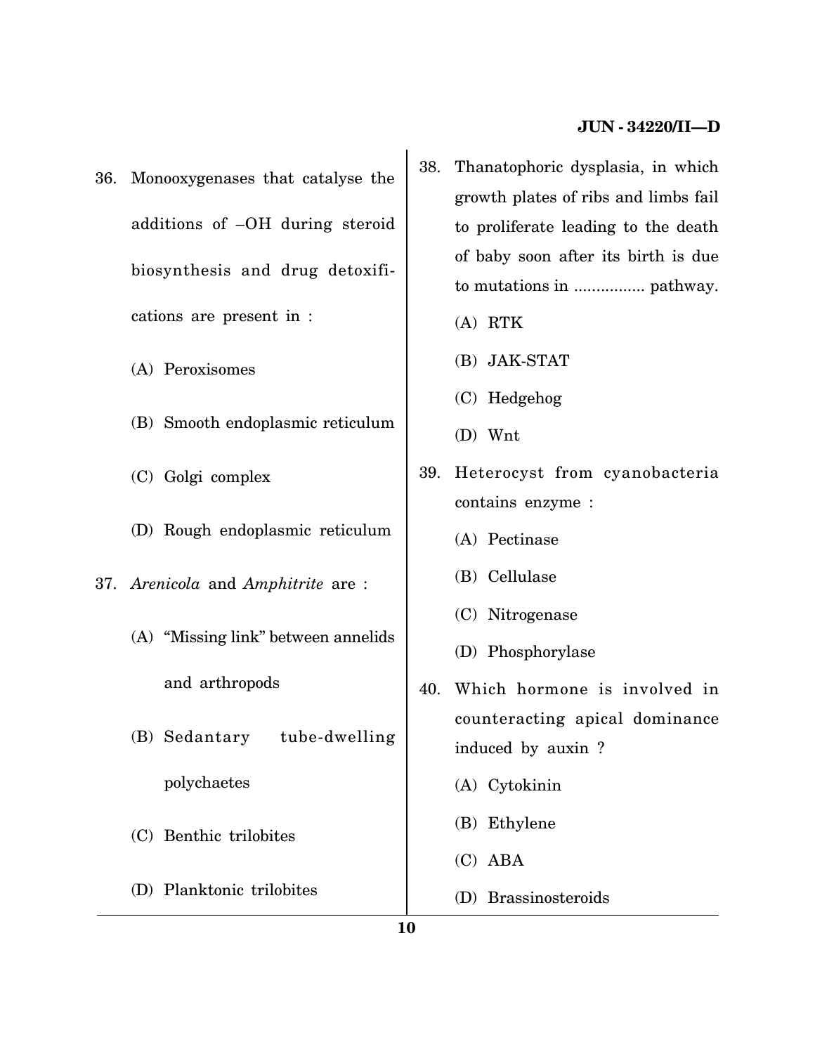- 36. Monooxygenases that catalyse the additions of –OH during steroid biosynthesis and drug detoxifications are present in :
	- (A) Peroxisomes
	- (B) Smooth endoplasmic reticulum
	- (C) Golgi complex
	- (D) Rough endoplasmic reticulum
- 37. *Arenicola* and *Amphitrite* are :
	- (A) "Missing link" between annelids and arthropods
	- (B) Sedantary tube-dwelling polychaetes
	- (C) Benthic trilobites
	- (D) Planktonic trilobites
- 38. Thanatophoric dysplasia, in which growth plates of ribs and limbs fail to proliferate leading to the death of baby soon after its birth is due to mutations in ................ pathway.
	- (A) RTK
	- (B) JAK-STAT
	- (C) Hedgehog
	- (D) Wnt
- 39. Heterocyst from cyanobacteria contains enzyme :
	- (A) Pectinase
	- (B) Cellulase
	- (C) Nitrogenase
	- (D) Phosphorylase
- 40. Which hormone is involved in counteracting apical dominance induced by auxin ?
	- (A) Cytokinin
	- (B) Ethylene
	- (C) ABA
	- (D) Brassinosteroids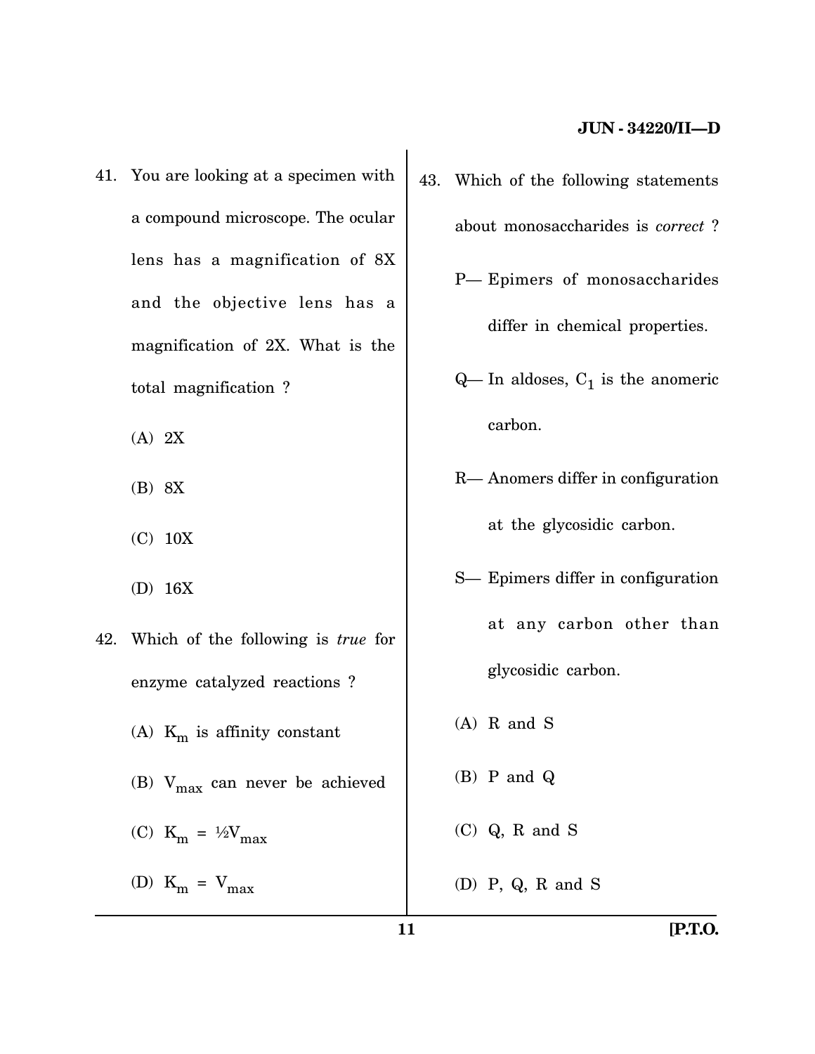- 41. You are looking at a specimen with a compound microscope. The ocular lens has a magnification of 8X and the objective lens has a magnification of 2X. What is the total magnification ?
	- (A) 2X
	- (B) 8X
	- (C) 10X
	- (D) 16X
- 42. Which of the following is *true* for enzyme catalyzed reactions ? (A)  $K_m$  is affinity constant (B)  $V_{\text{max}}$  can never be achieved (C)  $K_m = \frac{1}{2}V_{max}$ (D)  $K_m = V_{max}$
- 43. Which of the following statements about monosaccharides is *correct* ? P— Epimers of monosaccharides
	- differ in chemical properties.
	- $Q$  In aldoses,  $C_1$  is the anomeric carbon.
	- R— Anomers differ in configuration at the glycosidic carbon.
	- S— Epimers differ in configuration at any carbon other than glycosidic carbon.
	- (A) R and S
	- (B) P and Q
	- (C) Q, R and S
	- (D) P, Q, R and S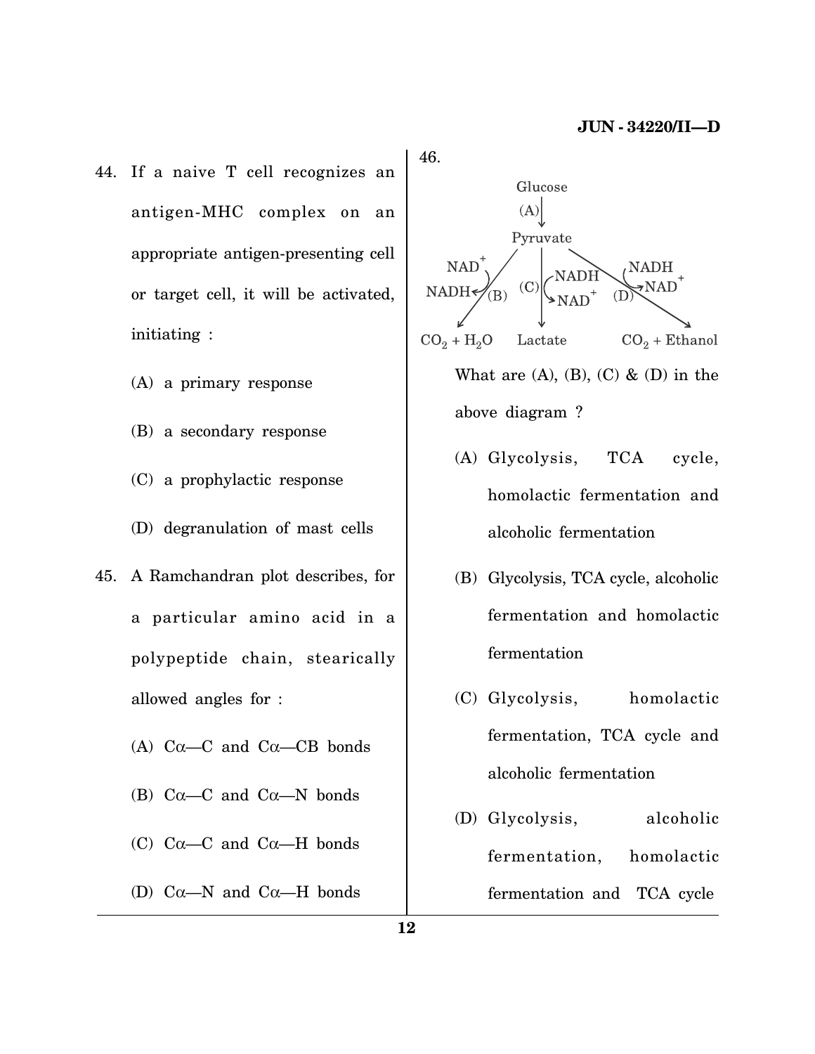- 44. If a naive T cell recognizes an antigen-MHC complex on an appropriate antigen-presenting cell or target cell, it will be activated, initiating :
	- (A) a primary response
	- (B) a secondary response
	- (C) a prophylactic response
	- (D) degranulation of mast cells
- 45. A Ramchandran plot describes, for a particular amino acid in a polypeptide chain, stearically allowed angles for :
	- (A)  $C\alpha$ — $C$  and  $C\alpha$ — $CB$  bonds
	- (B)  $C\alpha$ —C and  $C\alpha$ —N bonds
	- (C)  $Ca$ —C and  $Ca$ —H bonds
	- (D)  $C\alpha$ —N and  $C\alpha$ —H bonds





- (A) Glycolysis, TCA cycle, homolactic fermentation and alcoholic fermentation
- (B) Glycolysis, TCA cycle, alcoholic fermentation and homolactic fermentation
- (C) Glycolysis, homolactic fermentation, TCA cycle and alcoholic fermentation
- (D) Glycolysis, alcoholic fermentation, homolactic fermentation and TCA cycle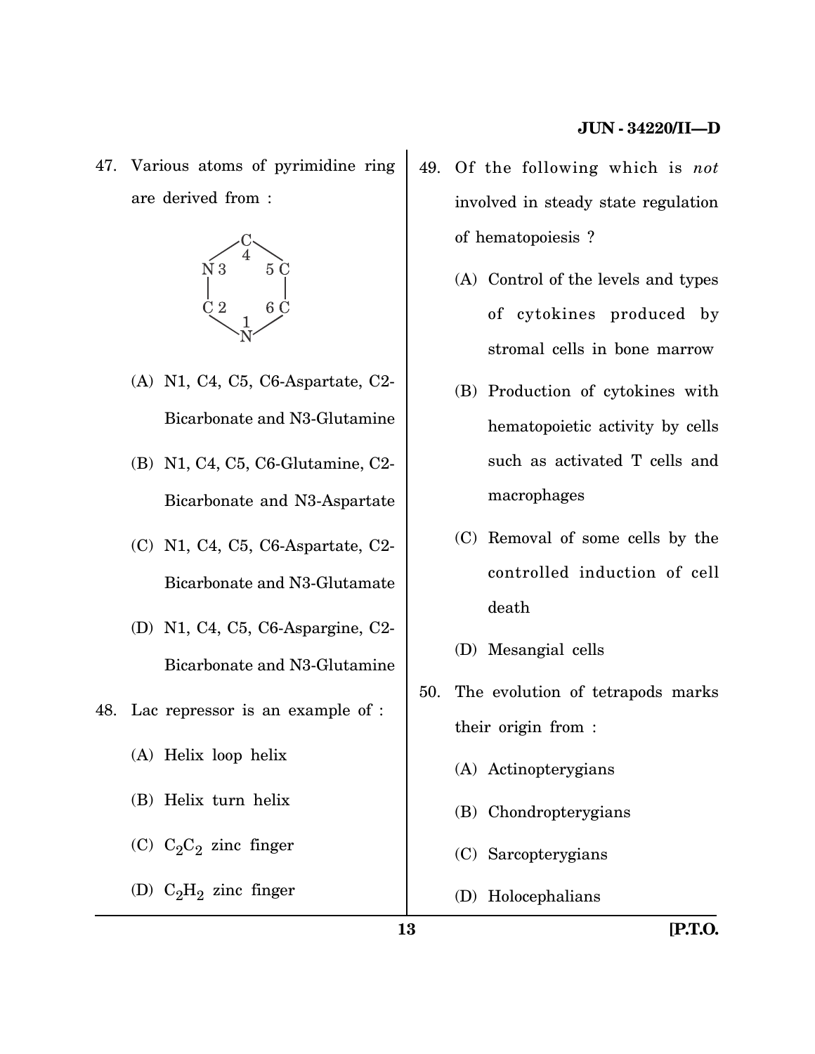47. Various atoms of pyrimidine ring are derived from :



- (A) N1, C4, C5, C6-Aspartate, C2- Bicarbonate and N3-Glutamine
- (B) N1, C4, C5, C6-Glutamine, C2- Bicarbonate and N3-Aspartate
- (C) N1, C4, C5, C6-Aspartate, C2- Bicarbonate and N3-Glutamate
- (D) N1, C4, C5, C6-Aspargine, C2- Bicarbonate and N3-Glutamine
- 48. Lac repressor is an example of :
	- (A) Helix loop helix
	- (B) Helix turn helix
	- (C)  $C_2C_2$  zinc finger
	- (D)  $C_2H_2$  zinc finger
- 49. Of the following which is *not* involved in steady state regulation of hematopoiesis ?
	- (A) Control of the levels and types of cytokines produced by stromal cells in bone marrow
	- (B) Production of cytokines with hematopoietic activity by cells such as activated T cells and macrophages
	- (C) Removal of some cells by the controlled induction of cell death
	- (D) Mesangial cells
- 50. The evolution of tetrapods marks their origin from :
	- (A) Actinopterygians
	- (B) Chondropterygians
	- (C) Sarcopterygians
	- (D) Holocephalians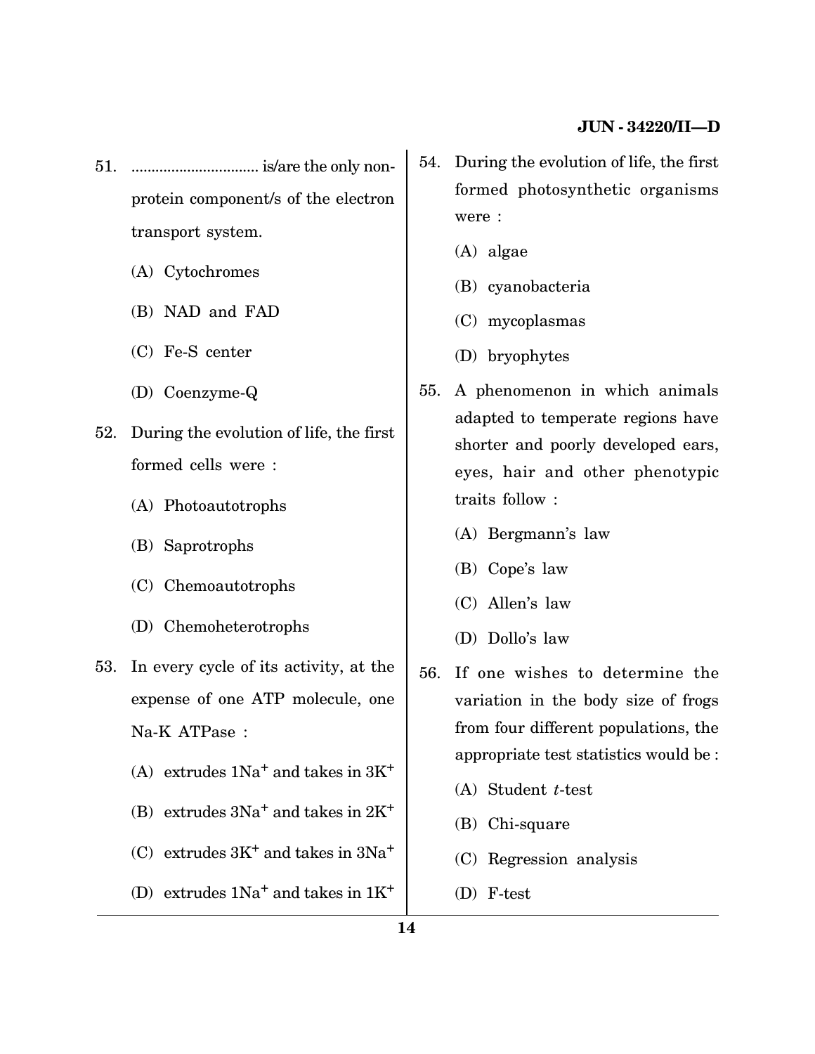- 51. ................................ is/are the only nonprotein component/s of the electron transport system.
	- (A) Cytochromes
	- (B) NAD and FAD
	- (C) Fe-S center
	- (D) Coenzyme-Q
- 52. During the evolution of life, the first formed cells were :
	- (A) Photoautotrophs
	- (B) Saprotrophs
	- (C) Chemoautotrophs
	- (D) Chemoheterotrophs
- 53. In every cycle of its activity, at the expense of one ATP molecule, one Na-K ATPase :
	- (A) extrudes  $1Na<sup>+</sup>$  and takes in  $3K<sup>+</sup>$
	- (B) extrudes  $3Na<sup>+</sup>$  and takes in  $2K<sup>+</sup>$
	- (C) extrudes  $3K^+$  and takes in  $3Na^+$
	- (D) extrudes  $1Na<sup>+</sup>$  and takes in  $1K<sup>+</sup>$
- 54. During the evolution of life, the first formed photosynthetic organisms were :
	- (A) algae
	- (B) cyanobacteria
	- (C) mycoplasmas
	- (D) bryophytes
- 55. A phenomenon in which animals adapted to temperate regions have shorter and poorly developed ears, eyes, hair and other phenotypic traits follow :
	- (A) Bergmann's law
	- (B) Cope's law
	- (C) Allen's law
	- (D) Dollo's law
- 56. If one wishes to determine the variation in the body size of frogs from four different populations, the appropriate test statistics would be :
	- (A) Student *t*-test
	- (B) Chi-square
	- (C) Regression analysis
	- (D) F-test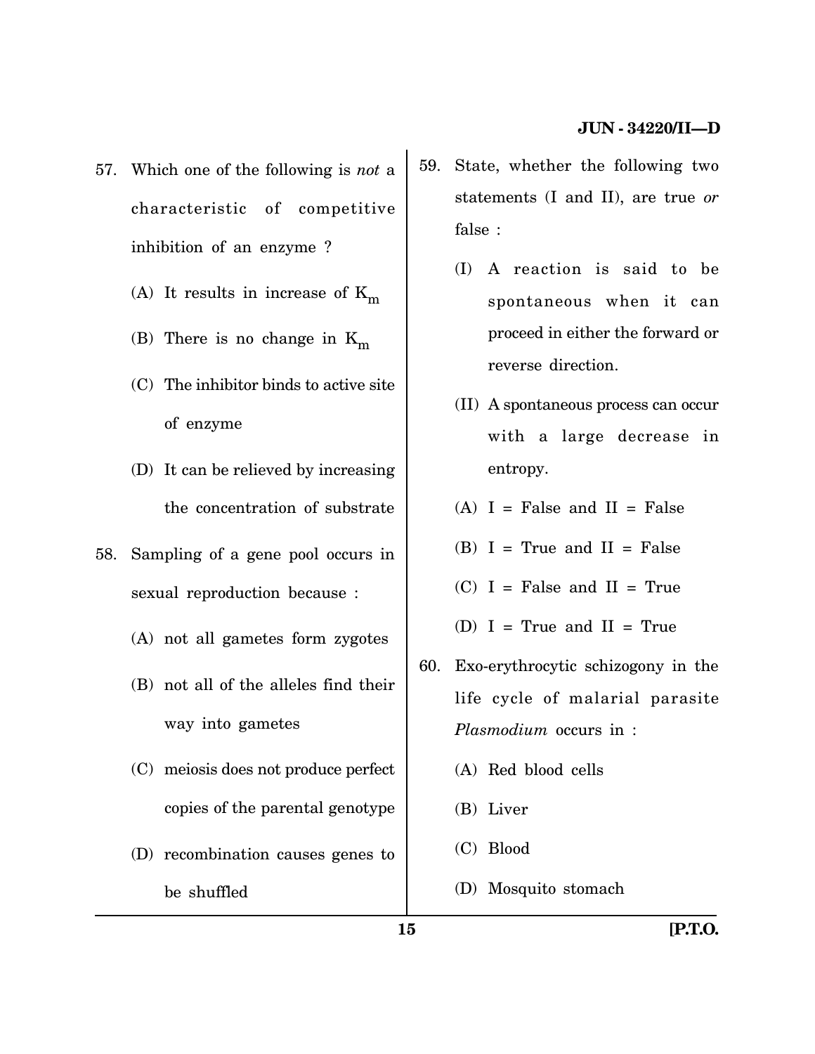- 57. Which one of the following is *not* a characteristic of competitive inhibition of an enzyme ?
	- (A) It results in increase of  $K_m$
	- (B) There is no change in  $K_m$
	- (C) The inhibitor binds to active site of enzyme
	- (D) It can be relieved by increasing the concentration of substrate
- 58. Sampling of a gene pool occurs in sexual reproduction because :
	- (A) not all gametes form zygotes
	- (B) not all of the alleles find their way into gametes
	- (C) meiosis does not produce perfect copies of the parental genotype
	- (D) recombination causes genes to be shuffled
- 59. State, whether the following two statements (I and II), are true *or* false :
	- (I) A reaction is said to be spontaneous when it can proceed in either the forward or reverse direction.
	- (II) A spontaneous process can occur with a large decrease in entropy.
	- $(A)$  I = False and II = False
	- $(B)$  I = True and II = False
	- $(C)$  I = False and II = True
	- (D)  $I = True$  and  $II = True$
- 60. Exo-erythrocytic schizogony in the life cycle of malarial parasite *Plasmodium* occurs in :
	- (A) Red blood cells
	- (B) Liver
	- (C) Blood
	- (D) Mosquito stomach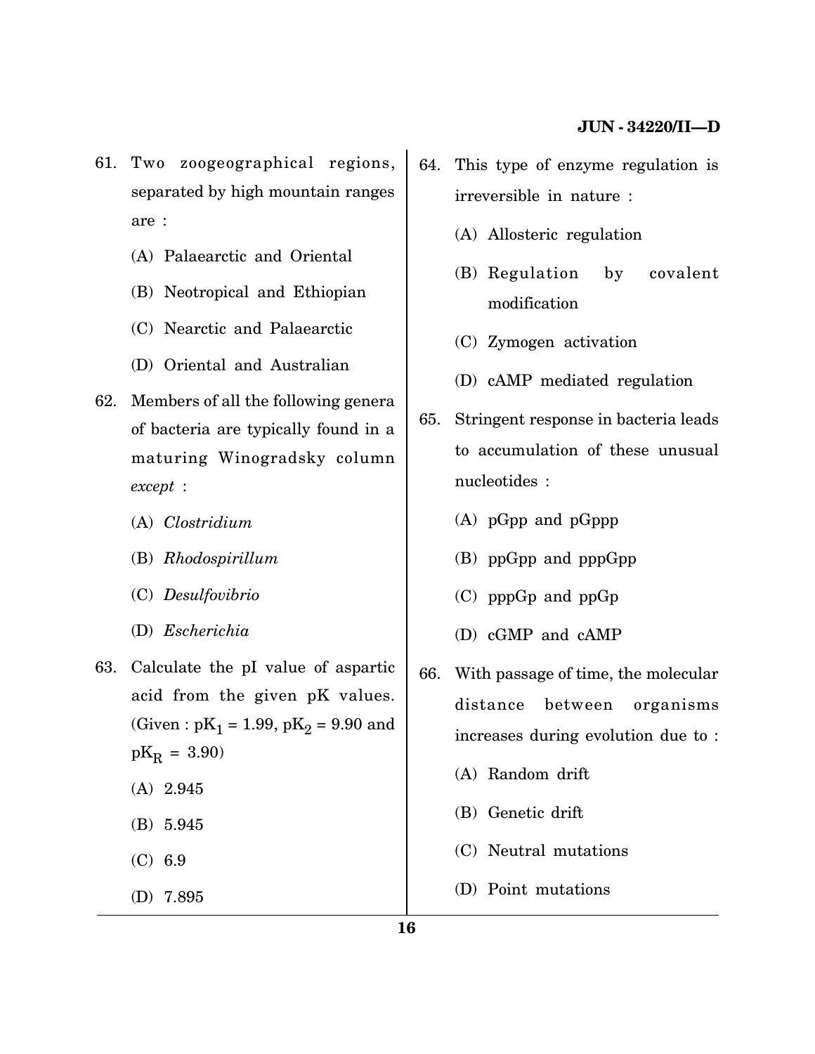- 61. Two zoogeographical regions, separated by high mountain ranges are :
	- (A) Palaearctic and Oriental
	- (B) Neotropical and Ethiopian
	- (C) Nearctic and Palaearctic
	- (D) Oriental and Australian
- 62. Members of all the following genera of bacteria are typically found in a maturing Winogradsky column *except* :
	- (A) *Clostridium*
	- (B) *Rhodospirillum*
	- (C) *Desulfovibrio*
	- (D) *Escherichia*
- 63. Calculate the pI value of aspartic acid from the given pK values. (Given :  $pK_1 = 1.99$ ,  $pK_2 = 9.90$  and  $pK_R = 3.90$ (A) 2.945
	-
	- (B) 5.945
	- (C) 6.9
	- (D) 7.895
- 64. This type of enzyme regulation is irreversible in nature :
	- (A) Allosteric regulation
	- (B) Regulation by covalent modification
	- (C) Zymogen activation
	- (D) cAMP mediated regulation
- 65. Stringent response in bacteria leads to accumulation of these unusual nucleotides :
	- (A) pGpp and pGppp
	- (B) ppGpp and pppGpp
	- (C) pppGp and ppGp
	- (D) cGMP and cAMP
- 66. With passage of time, the molecular distance between organisms increases during evolution due to :
	- (A) Random drift
	- (B) Genetic drift
	- (C) Neutral mutations
	- (D) Point mutations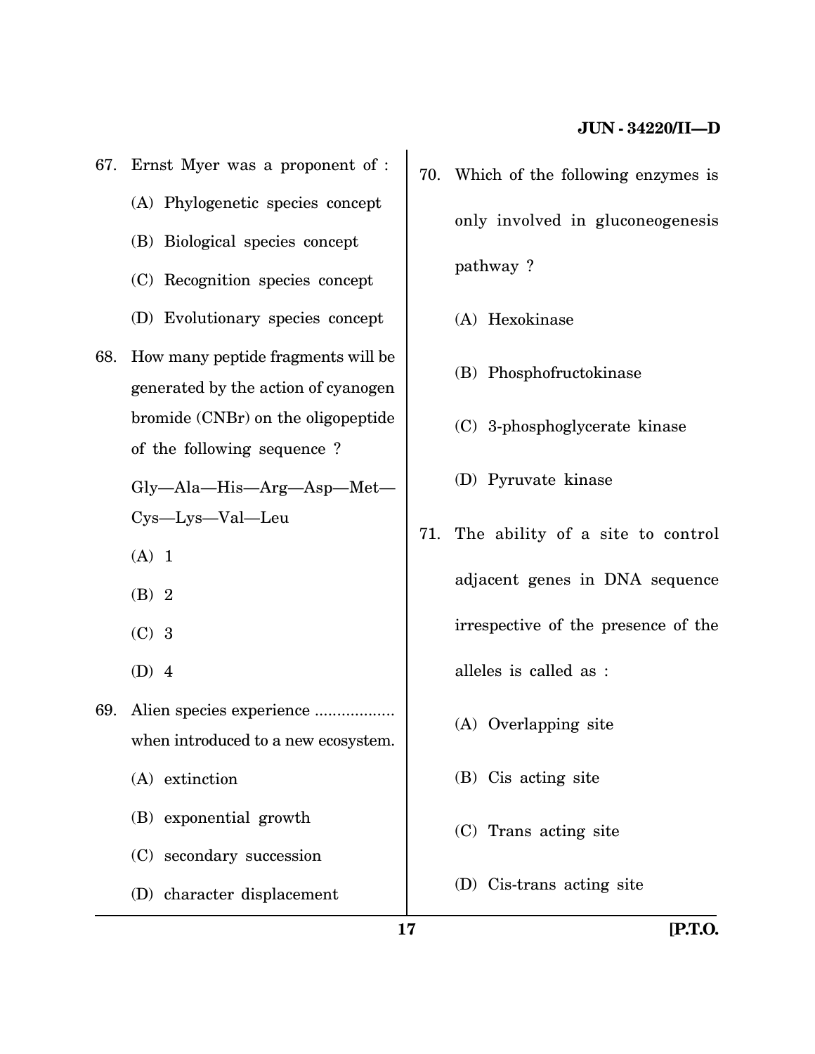- 67. Ernst Myer was a proponent of :
	- (A) Phylogenetic species concept
	- (B) Biological species concept
	- (C) Recognition species concept
	- (D) Evolutionary species concept
- 68. How many peptide fragments will be generated by the action of cyanogen bromide (CNBr) on the oligopeptide of the following sequence ?

Gly—Ala—His—Arg—Asp—Met— Cys—Lys—Val—Leu

- (A) 1
- (B) 2
- (C) 3
- (D) 4
- 69. Alien species experience .................. when introduced to a new ecosystem.
	- (A) extinction
	- (B) exponential growth
	- (C) secondary succession
	- (D) character displacement
- 70. Which of the following enzymes is only involved in gluconeogenesis pathway ?
	- (A) Hexokinase
	- (B) Phosphofructokinase
	- (C) 3-phosphoglycerate kinase
	- (D) Pyruvate kinase
- 71. The ability of a site to control adjacent genes in DNA sequence irrespective of the presence of the alleles is called as :
	- (A) Overlapping site
	- (B) Cis acting site
	- (C) Trans acting site
	- (D) Cis-trans acting site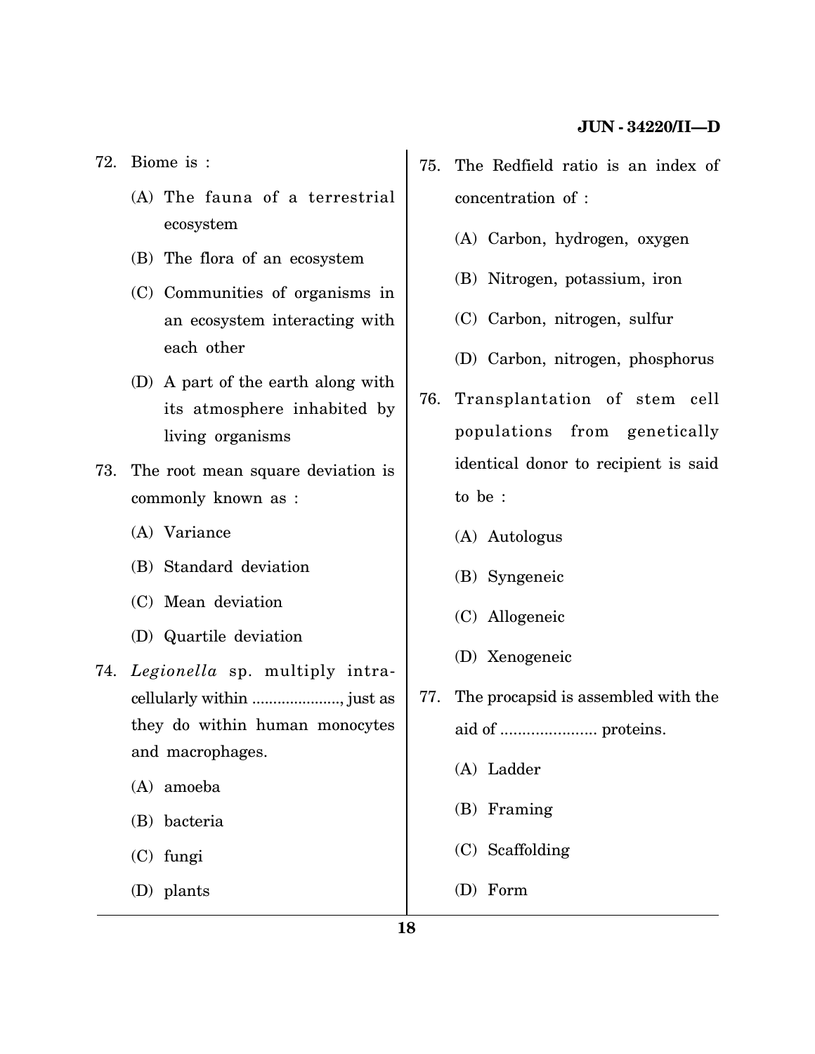72. Biome is :

- (A) The fauna of a terrestrial ecosystem
- (B) The flora of an ecosystem
- (C) Communities of organisms in an ecosystem interacting with each other
- (D) A part of the earth along with its atmosphere inhabited by living organisms
- 73. The root mean square deviation is commonly known as :
	- (A) Variance
	- (B) Standard deviation
	- (C) Mean deviation
	- (D) Quartile deviation
- 74. *Legionella* sp. multiply intracellularly within ....................., just as they do within human monocytes and macrophages.
	- (A) amoeba
	- (B) bacteria
	- (C) fungi
	- (D) plants
- 75. The Redfield ratio is an index of concentration of :
	- (A) Carbon, hydrogen, oxygen
	- (B) Nitrogen, potassium, iron
	- (C) Carbon, nitrogen, sulfur
	- (D) Carbon, nitrogen, phosphorus
- 76. Transplantation of stem cell populations from genetically identical donor to recipient is said to be :
	- (A) Autologus
	- (B) Syngeneic
	- (C) Allogeneic
	- (D) Xenogeneic
- 77. The procapsid is assembled with the aid of ...................... proteins.
	- (A) Ladder
	- (B) Framing
	- (C) Scaffolding
	- (D) Form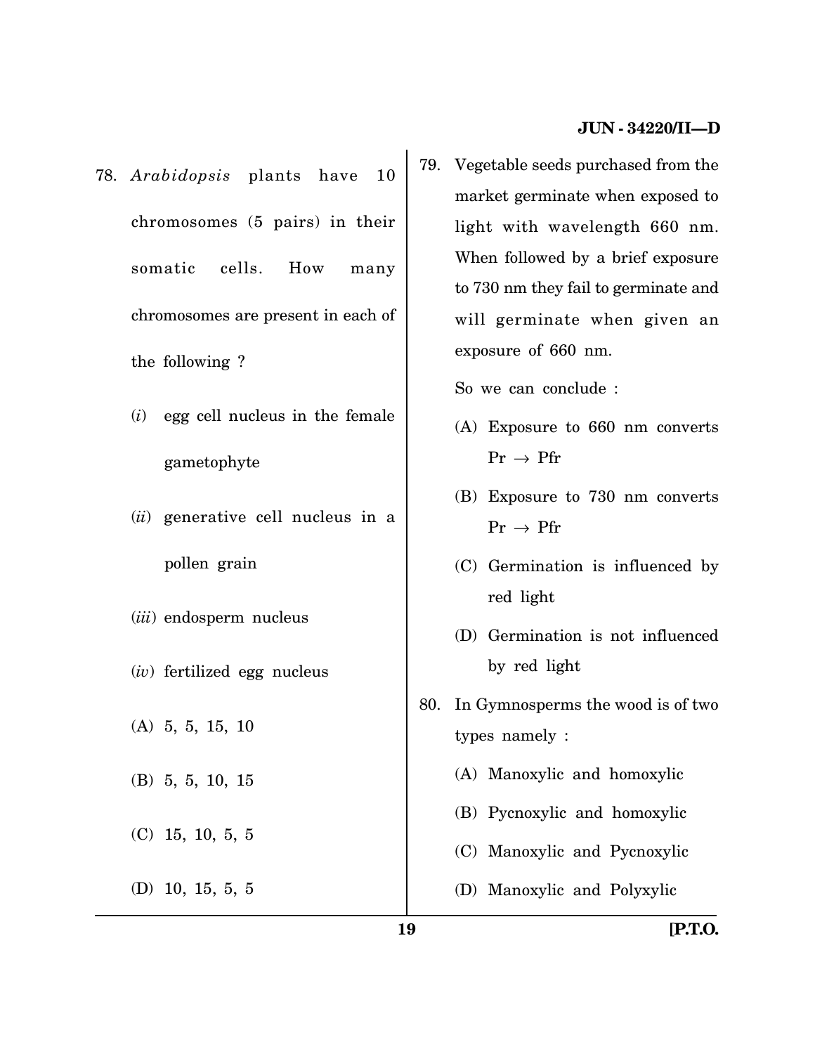- 78. *Arabidopsis* plants have 10 chromosomes (5 pairs) in their somatic cells. How many chromosomes are present in each of the following ?
	- (*i*) egg cell nucleus in the female gametophyte
	- (*ii*) generative cell nucleus in a pollen grain
	- (*iii*) endosperm nucleus
	- (*iv*) fertilized egg nucleus
	- (A) 5, 5, 15, 10
	- (B) 5, 5, 10, 15
	- (C) 15, 10, 5, 5
	- (D) 10, 15, 5, 5

79. Vegetable seeds purchased from the market germinate when exposed to light with wavelength 660 nm. When followed by a brief exposure to 730 nm they fail to germinate and will germinate when given an exposure of 660 nm.

So we can conclude :

- (A) Exposure to 660 nm converts  $Pr \rightarrow Pr$
- (B) Exposure to 730 nm converts  $Pr \rightarrow Pr$
- (C) Germination is influenced by red light
- (D) Germination is not influenced by red light
- 80. In Gymnosperms the wood is of two types namely :
	- (A) Manoxylic and homoxylic
	- (B) Pycnoxylic and homoxylic
	- (C) Manoxylic and Pycnoxylic
	- (D) Manoxylic and Polyxylic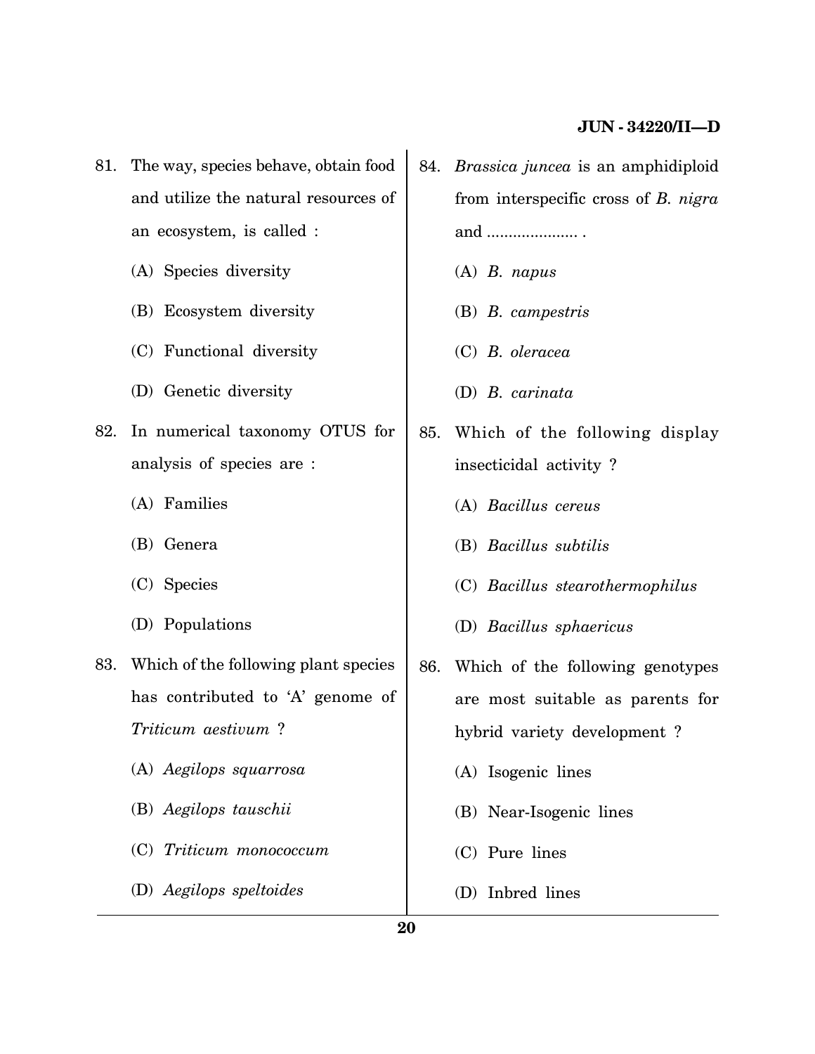- 81. The way, species behave, obtain food and utilize the natural resources of an ecosystem, is called :
	- (A) Species diversity
	- (B) Ecosystem diversity
	- (C) Functional diversity
	- (D) Genetic diversity
- 82. In numerical taxonomy OTUS for analysis of species are :
	- (A) Families
	- (B) Genera
	- (C) Species
	- (D) Populations
- 83. Which of the following plant species has contributed to 'A' genome of *Triticum aestivum* ?
	- (A) *Aegilops squarrosa*
	- (B) *Aegilops tauschii*
	- (C) *Triticum monococcum*
	- (D) *Aegilops speltoides*
- 84. *Brassica juncea* is an amphidiploid from interspecific cross of *B. nigra* and ..................... .
	- (A) *B. napus*
	- (B) *B. campestris*
	- (C) *B. oleracea*
	- (D) *B. carinata*
- 85. Which of the following display insecticidal activity ?
	- (A) *Bacillus cereus*
	- (B) *Bacillus subtilis*
	- (C) *Bacillus stearothermophilus*
	- (D) *Bacillus sphaericus*
- 86. Which of the following genotypes are most suitable as parents for hybrid variety development ?
	- (A) Isogenic lines
	- (B) Near-Isogenic lines
	- (C) Pure lines
	- (D) Inbred lines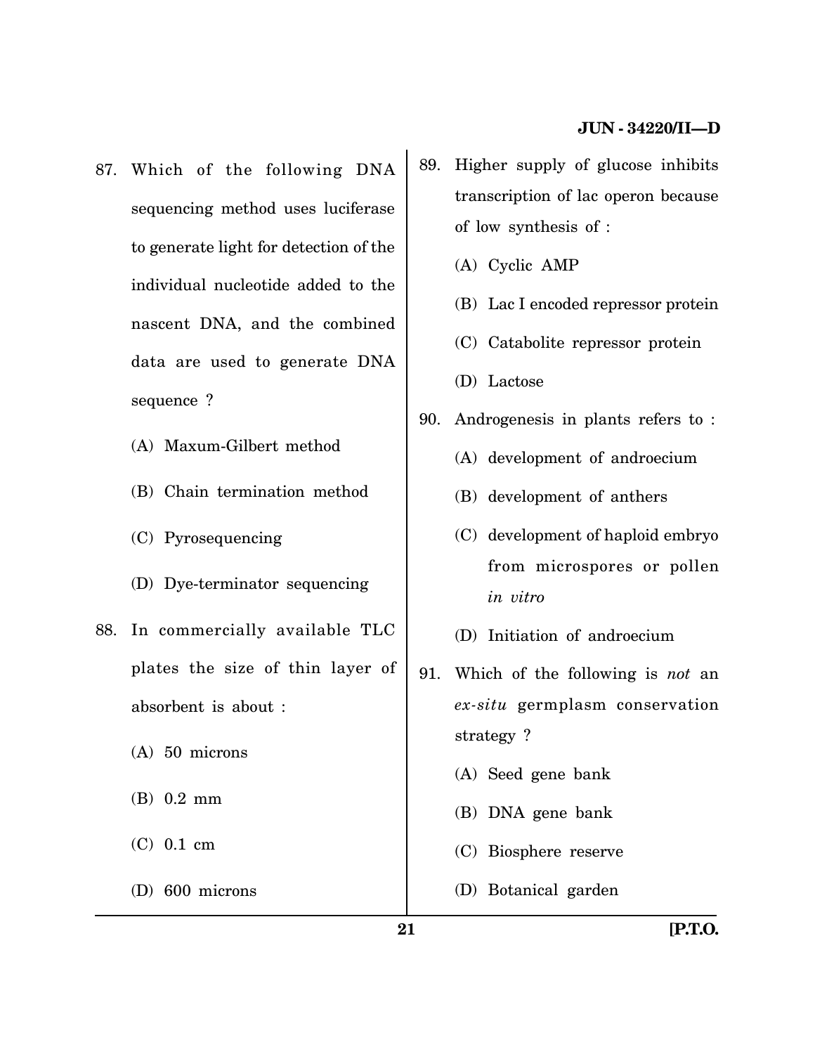- 87. Which of the following DNA sequencing method uses luciferase to generate light for detection of the individual nucleotide added to the nascent DNA, and the combined data are used to generate DNA sequence ?
	- (A) Maxum-Gilbert method
	- (B) Chain termination method
	- (C) Pyrosequencing
	- (D) Dye-terminator sequencing
- 88. In commercially available TLC plates the size of thin layer of absorbent is about :
	- (A) 50 microns
	- (B) 0.2 mm
	- (C) 0.1 cm
	- (D) 600 microns
- 89. Higher supply of glucose inhibits transcription of lac operon because of low synthesis of :
	- (A) Cyclic AMP
	- (B) Lac I encoded repressor protein
	- (C) Catabolite repressor protein
	- (D) Lactose
- 90. Androgenesis in plants refers to :
	- (A) development of androecium
	- (B) development of anthers
	- (C) development of haploid embryo from microspores or pollen *in vitro*
	- (D) Initiation of androecium
- 91. Which of the following is *not* an *ex-situ* germplasm conservation strategy ?
	- (A) Seed gene bank
	- (B) DNA gene bank
	- (C) Biosphere reserve
	- (D) Botanical garden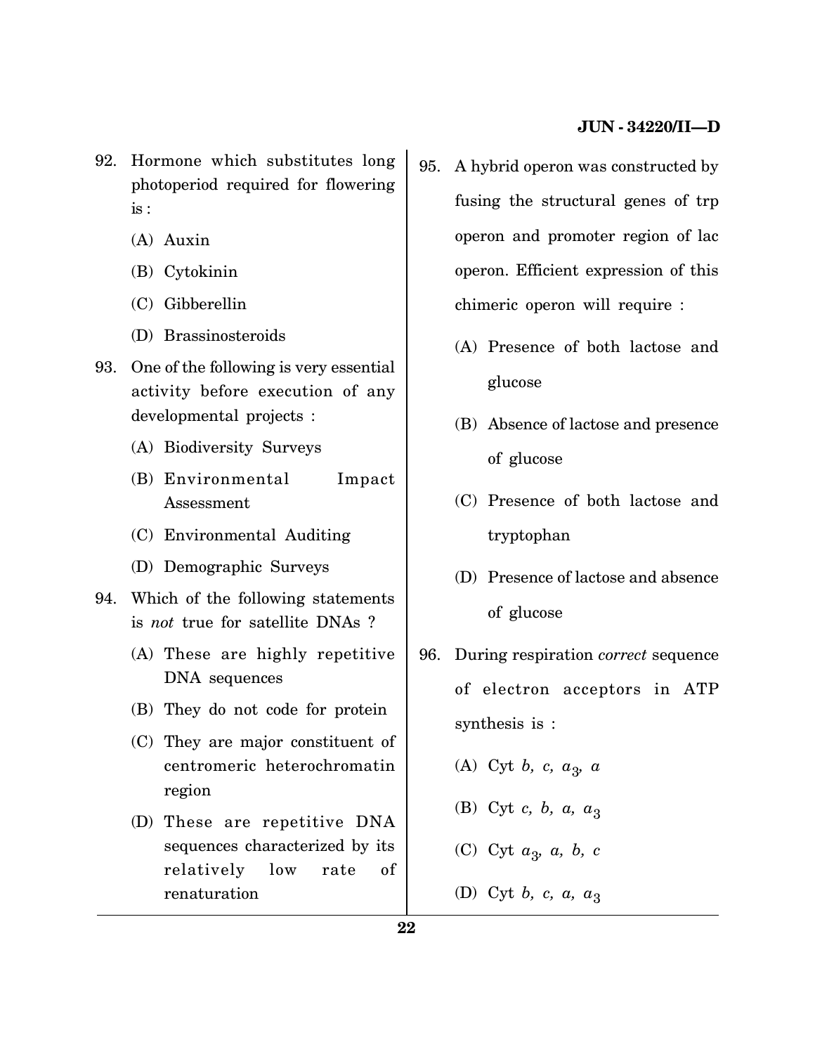- 92. Hormone which substitutes long photoperiod required for flowering is :
	- (A) Auxin
	- (B) Cytokinin
	- (C) Gibberellin
	- (D) Brassinosteroids
- 93. One of the following is very essential activity before execution of any developmental projects :
	- (A) Biodiversity Surveys
	- (B) Environmental Impact Assessment
	- (C) Environmental Auditing
	- (D) Demographic Surveys
- 94. Which of the following statements is *not* true for satellite DNAs ?
	- (A) These are highly repetitive DNA sequences
	- (B) They do not code for protein
	- (C) They are major constituent of centromeric heterochromatin region
	- (D) These are repetitive DNA sequences characterized by its relatively low rate of renaturation
- 95. A hybrid operon was constructed by fusing the structural genes of trp operon and promoter region of lac operon. Efficient expression of this chimeric operon will require :
	- (A) Presence of both lactose and glucose
	- (B) Absence of lactose and presence of glucose
	- (C) Presence of both lactose and tryptophan
	- (D) Presence of lactose and absence of glucose
- 96. During respiration *correct* sequence of electron acceptors in ATP synthesis is :

(A) Cyt *b, c, a*<sup>3</sup> *, a*

- (B) Cyt *c*, *b*, *a*, *a*<sub>3</sub>
- (C) Cyt *a*<sup>3</sup> *, a, b, c*
- (D) Cyt *b*, *c*, *a*,  $a_3$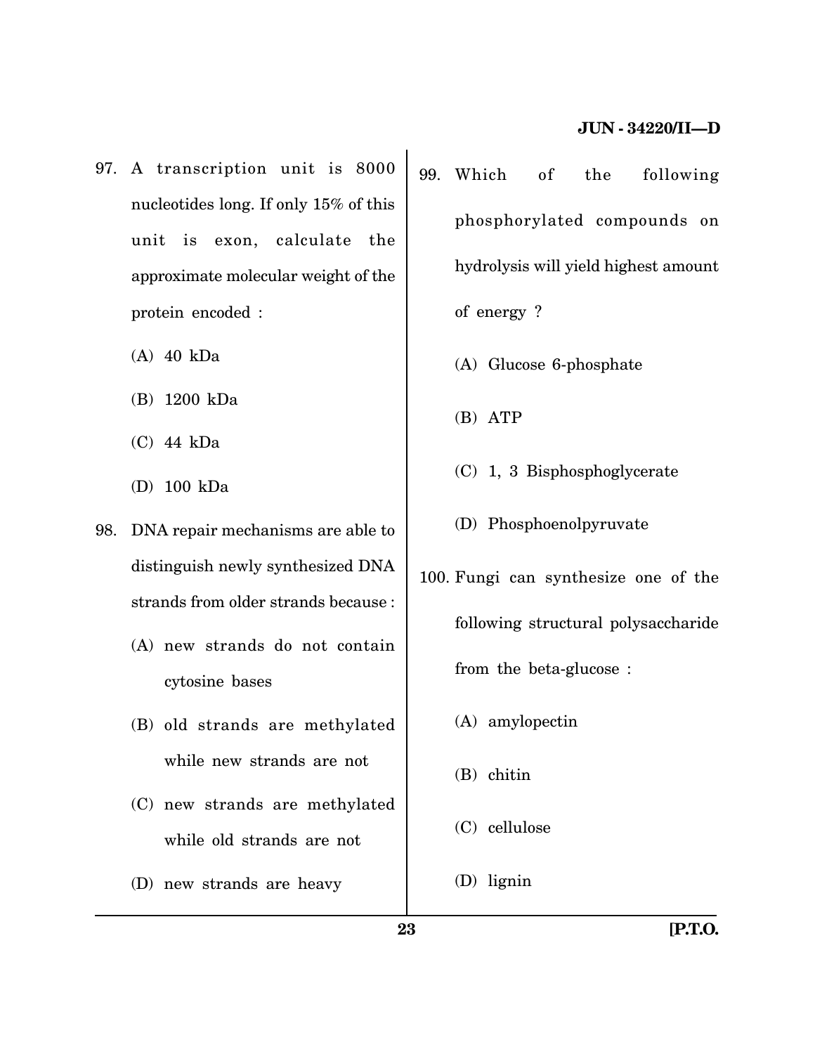- 97. A transcription unit is 8000 nucleotides long. If only 15% of this unit is exon, calculate the approximate molecular weight of the protein encoded :
	- (A) 40 kDa
	- (B) 1200 kDa
	- (C) 44 kDa
	- (D) 100 kDa
- 98. DNA repair mechanisms are able to distinguish newly synthesized DNA strands from older strands because :
	- (A) new strands do not contain cytosine bases
	- (B) old strands are methylated while new strands are not
	- (C) new strands are methylated while old strands are not
	- (D) new strands are heavy
- 99. Which of the following phosphorylated compounds on hydrolysis will yield highest amount of energy ?
	- (A) Glucose 6-phosphate
	- (B) ATP
	- (C) 1, 3 Bisphosphoglycerate
	- (D) Phosphoenolpyruvate
- 100. Fungi can synthesize one of the following structural polysaccharide from the beta-glucose :
	- (A) amylopectin
	- (B) chitin
	- (C) cellulose
	- (D) lignin